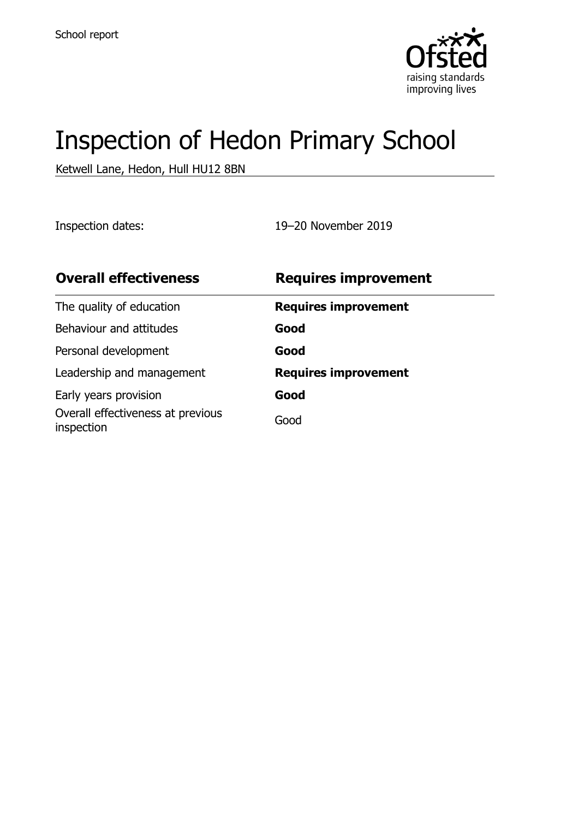

# Inspection of Hedon Primary School

Ketwell Lane, Hedon, Hull HU12 8BN

Inspection dates: 19–20 November 2019

| <b>Overall effectiveness</b>                    | <b>Requires improvement</b> |
|-------------------------------------------------|-----------------------------|
| The quality of education                        | <b>Requires improvement</b> |
| Behaviour and attitudes                         | Good                        |
| Personal development                            | Good                        |
| Leadership and management                       | <b>Requires improvement</b> |
| Early years provision                           | Good                        |
| Overall effectiveness at previous<br>inspection | Good                        |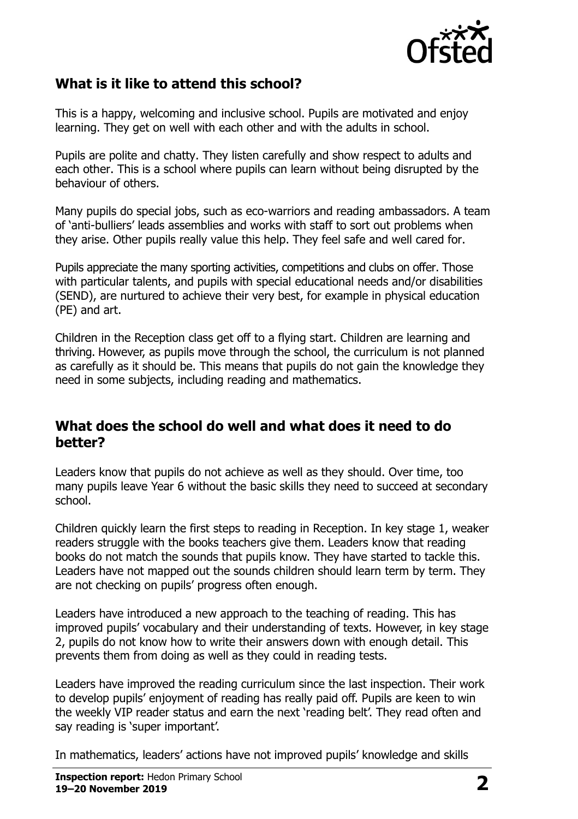

#### **What is it like to attend this school?**

This is a happy, welcoming and inclusive school. Pupils are motivated and enjoy learning. They get on well with each other and with the adults in school.

Pupils are polite and chatty. They listen carefully and show respect to adults and each other. This is a school where pupils can learn without being disrupted by the behaviour of others.

Many pupils do special jobs, such as eco-warriors and reading ambassadors. A team of 'anti-bulliers' leads assemblies and works with staff to sort out problems when they arise. Other pupils really value this help. They feel safe and well cared for.

Pupils appreciate the many sporting activities, competitions and clubs on offer. Those with particular talents, and pupils with special educational needs and/or disabilities (SEND), are nurtured to achieve their very best, for example in physical education (PE) and art.

Children in the Reception class get off to a flying start. Children are learning and thriving. However, as pupils move through the school, the curriculum is not planned as carefully as it should be. This means that pupils do not gain the knowledge they need in some subjects, including reading and mathematics.

#### **What does the school do well and what does it need to do better?**

Leaders know that pupils do not achieve as well as they should. Over time, too many pupils leave Year 6 without the basic skills they need to succeed at secondary school.

Children quickly learn the first steps to reading in Reception. In key stage 1, weaker readers struggle with the books teachers give them. Leaders know that reading books do not match the sounds that pupils know. They have started to tackle this. Leaders have not mapped out the sounds children should learn term by term. They are not checking on pupils' progress often enough.

Leaders have introduced a new approach to the teaching of reading. This has improved pupils' vocabulary and their understanding of texts. However, in key stage 2, pupils do not know how to write their answers down with enough detail. This prevents them from doing as well as they could in reading tests.

Leaders have improved the reading curriculum since the last inspection. Their work to develop pupils' enjoyment of reading has really paid off. Pupils are keen to win the weekly VIP reader status and earn the next 'reading belt'. They read often and say reading is 'super important'.

In mathematics, leaders' actions have not improved pupils' knowledge and skills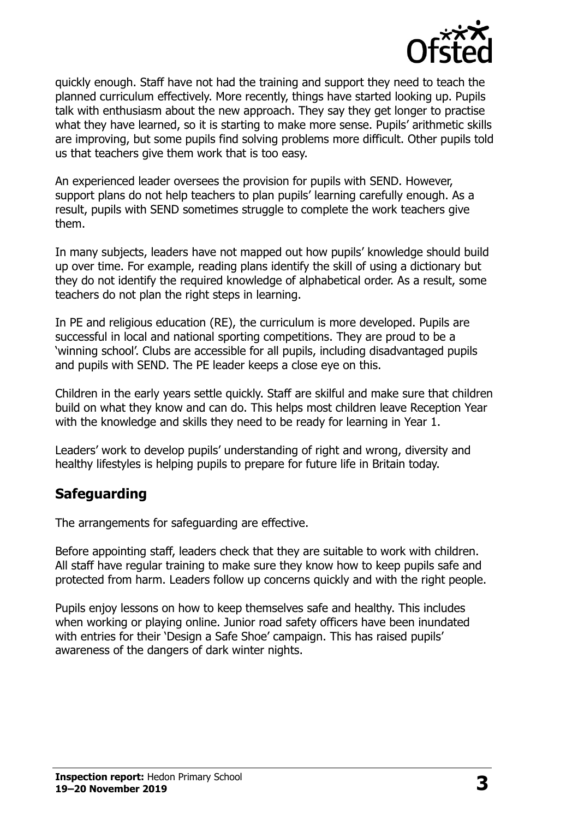

quickly enough. Staff have not had the training and support they need to teach the planned curriculum effectively. More recently, things have started looking up. Pupils talk with enthusiasm about the new approach. They say they get longer to practise what they have learned, so it is starting to make more sense. Pupils' arithmetic skills are improving, but some pupils find solving problems more difficult. Other pupils told us that teachers give them work that is too easy.

An experienced leader oversees the provision for pupils with SEND. However, support plans do not help teachers to plan pupils' learning carefully enough. As a result, pupils with SEND sometimes struggle to complete the work teachers give them.

In many subjects, leaders have not mapped out how pupils' knowledge should build up over time. For example, reading plans identify the skill of using a dictionary but they do not identify the required knowledge of alphabetical order. As a result, some teachers do not plan the right steps in learning.

In PE and religious education (RE), the curriculum is more developed. Pupils are successful in local and national sporting competitions. They are proud to be a 'winning school'. Clubs are accessible for all pupils, including disadvantaged pupils and pupils with SEND. The PE leader keeps a close eye on this.

Children in the early years settle quickly. Staff are skilful and make sure that children build on what they know and can do. This helps most children leave Reception Year with the knowledge and skills they need to be ready for learning in Year 1.

Leaders' work to develop pupils' understanding of right and wrong, diversity and healthy lifestyles is helping pupils to prepare for future life in Britain today.

## **Safeguarding**

The arrangements for safeguarding are effective.

Before appointing staff, leaders check that they are suitable to work with children. All staff have regular training to make sure they know how to keep pupils safe and protected from harm. Leaders follow up concerns quickly and with the right people.

Pupils enjoy lessons on how to keep themselves safe and healthy. This includes when working or playing online. Junior road safety officers have been inundated with entries for their 'Design a Safe Shoe' campaign. This has raised pupils' awareness of the dangers of dark winter nights.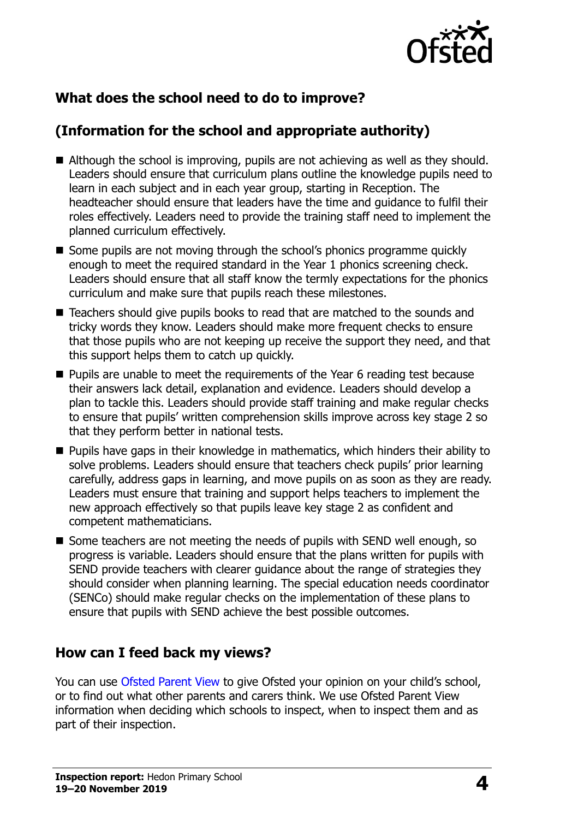

## **What does the school need to do to improve?**

## **(Information for the school and appropriate authority)**

- Although the school is improving, pupils are not achieving as well as they should. Leaders should ensure that curriculum plans outline the knowledge pupils need to learn in each subject and in each year group, starting in Reception. The headteacher should ensure that leaders have the time and guidance to fulfil their roles effectively. Leaders need to provide the training staff need to implement the planned curriculum effectively.
- Some pupils are not moving through the school's phonics programme quickly enough to meet the required standard in the Year 1 phonics screening check. Leaders should ensure that all staff know the termly expectations for the phonics curriculum and make sure that pupils reach these milestones.
- Teachers should give pupils books to read that are matched to the sounds and tricky words they know. Leaders should make more frequent checks to ensure that those pupils who are not keeping up receive the support they need, and that this support helps them to catch up quickly.
- **Pupils are unable to meet the requirements of the Year 6 reading test because** their answers lack detail, explanation and evidence. Leaders should develop a plan to tackle this. Leaders should provide staff training and make regular checks to ensure that pupils' written comprehension skills improve across key stage 2 so that they perform better in national tests.
- **Pupils have gaps in their knowledge in mathematics, which hinders their ability to** solve problems. Leaders should ensure that teachers check pupils' prior learning carefully, address gaps in learning, and move pupils on as soon as they are ready. Leaders must ensure that training and support helps teachers to implement the new approach effectively so that pupils leave key stage 2 as confident and competent mathematicians.
- Some teachers are not meeting the needs of pupils with SEND well enough, so progress is variable. Leaders should ensure that the plans written for pupils with SEND provide teachers with clearer guidance about the range of strategies they should consider when planning learning. The special education needs coordinator (SENCo) should make regular checks on the implementation of these plans to ensure that pupils with SEND achieve the best possible outcomes.

#### **How can I feed back my views?**

You can use [Ofsted Parent View](http://parentview.ofsted.gov.uk/) to give Ofsted your opinion on your child's school, or to find out what other parents and carers think. We use Ofsted Parent View information when deciding which schools to inspect, when to inspect them and as part of their inspection.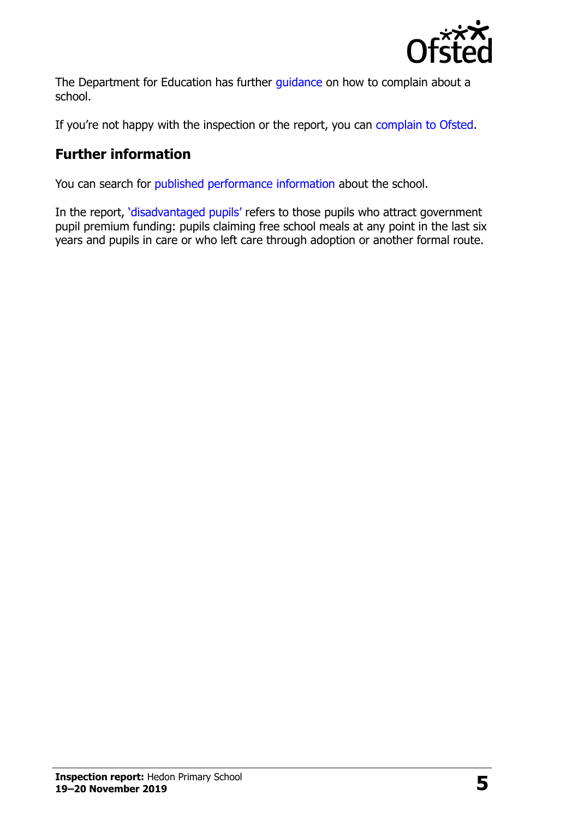

The Department for Education has further quidance on how to complain about a school.

If you're not happy with the inspection or the report, you can [complain to Ofsted.](http://www.gov.uk/complain-ofsted-report)

## **Further information**

You can search for [published performance information](http://www.compare-school-performance.service.gov.uk/) about the school.

In the report, '[disadvantaged pupils](http://www.gov.uk/guidance/pupil-premium-information-for-schools-and-alternative-provision-settings)' refers to those pupils who attract government pupil premium funding: pupils claiming free school meals at any point in the last six years and pupils in care or who left care through adoption or another formal route.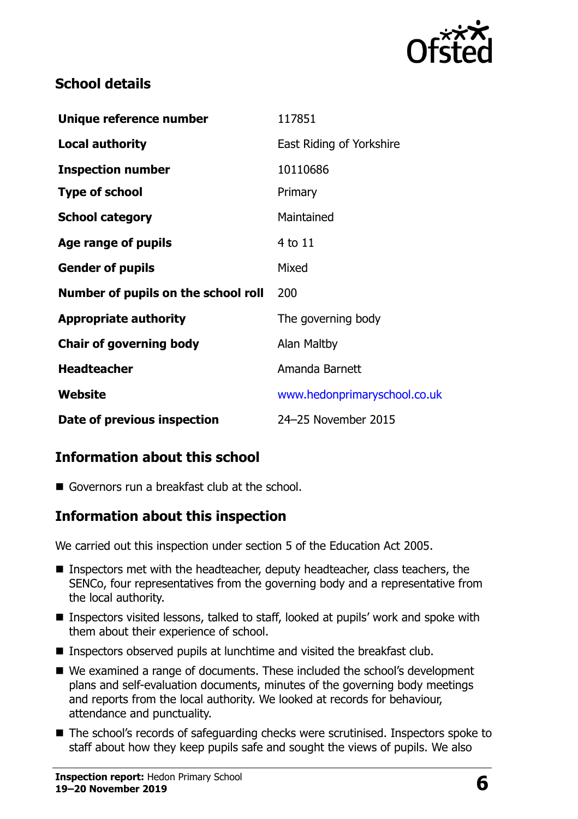

### **School details**

| Unique reference number             | 117851                       |
|-------------------------------------|------------------------------|
| <b>Local authority</b>              | East Riding of Yorkshire     |
| <b>Inspection number</b>            | 10110686                     |
| <b>Type of school</b>               | Primary                      |
| <b>School category</b>              | Maintained                   |
| Age range of pupils                 | 4 to 11                      |
| <b>Gender of pupils</b>             | Mixed                        |
| Number of pupils on the school roll | 200                          |
| <b>Appropriate authority</b>        | The governing body           |
| <b>Chair of governing body</b>      | Alan Maltby                  |
| <b>Headteacher</b>                  | Amanda Barnett               |
| Website                             | www.hedonprimaryschool.co.uk |
| Date of previous inspection         | 24-25 November 2015          |

## **Information about this school**

Governors run a breakfast club at the school.

## **Information about this inspection**

We carried out this inspection under section 5 of the Education Act 2005.

- **Inspectors met with the headteacher, deputy headteacher, class teachers, the** SENCo, four representatives from the governing body and a representative from the local authority.
- Inspectors visited lessons, talked to staff, looked at pupils' work and spoke with them about their experience of school.
- Inspectors observed pupils at lunchtime and visited the breakfast club.
- We examined a range of documents. These included the school's development plans and self-evaluation documents, minutes of the governing body meetings and reports from the local authority. We looked at records for behaviour, attendance and punctuality.
- The school's records of safeguarding checks were scrutinised. Inspectors spoke to staff about how they keep pupils safe and sought the views of pupils. We also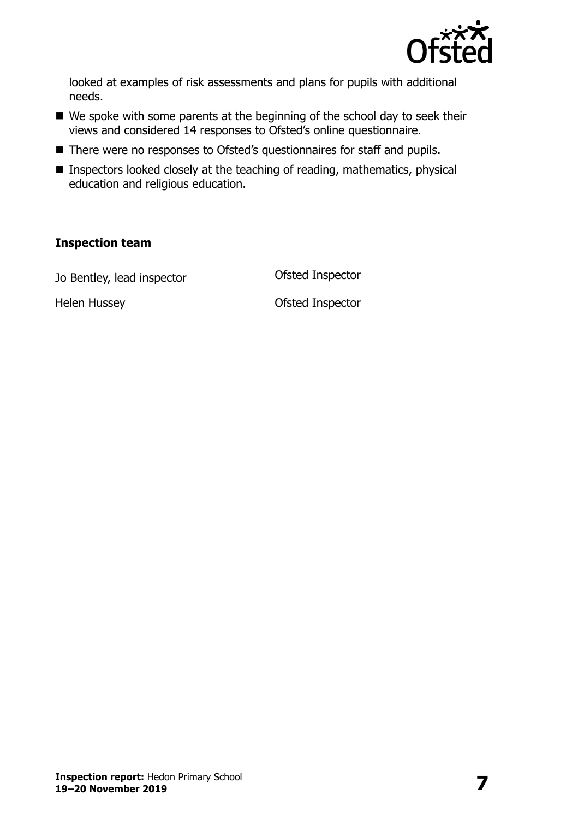

looked at examples of risk assessments and plans for pupils with additional needs.

- We spoke with some parents at the beginning of the school day to seek their views and considered 14 responses to Ofsted's online questionnaire.
- There were no responses to Ofsted's questionnaires for staff and pupils.
- Inspectors looked closely at the teaching of reading, mathematics, physical education and religious education.

#### **Inspection team**

Jo Bentley, lead inspector **Ofsted Inspector** 

Helen Hussey **Districts** Ofsted Inspector